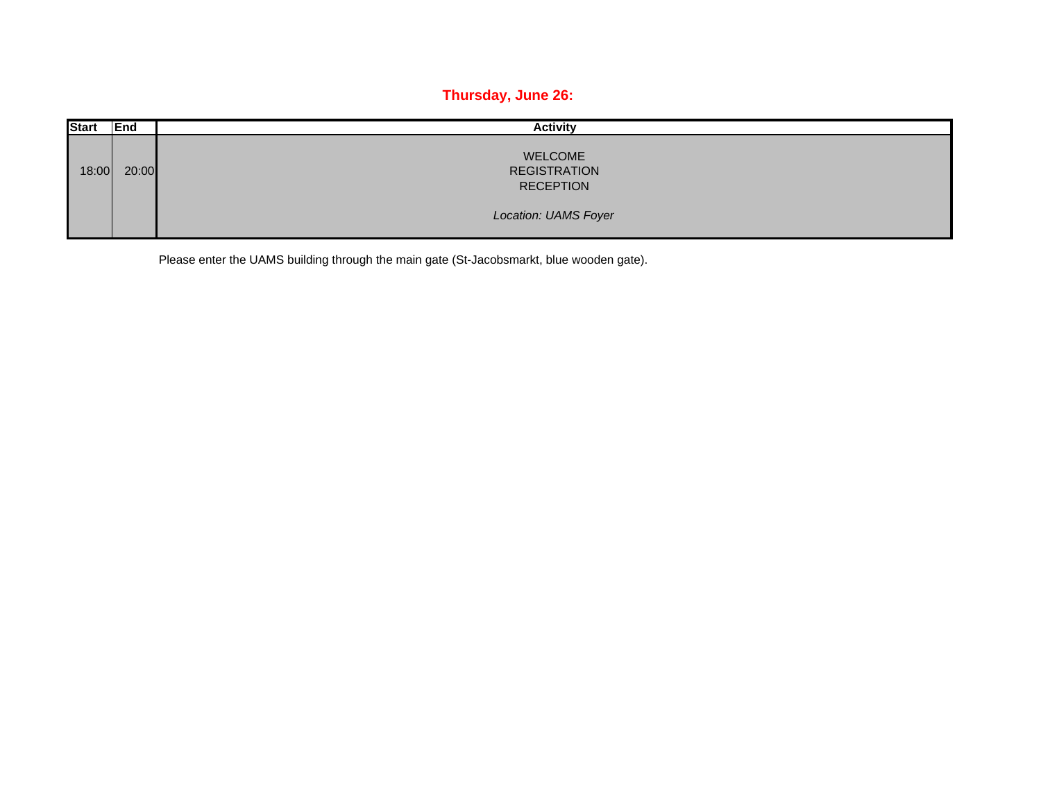## **Thursday, June 26:**

| <b>Start</b> | End   | <b>Activity</b>                                           |
|--------------|-------|-----------------------------------------------------------|
| 18:00        | 20:00 | <b>WELCOME</b><br><b>REGISTRATION</b><br><b>RECEPTION</b> |
|              |       | <b>Location: UAMS Foyer</b>                               |

Please enter the UAMS building through the main gate (St-Jacobsmarkt, blue wooden gate).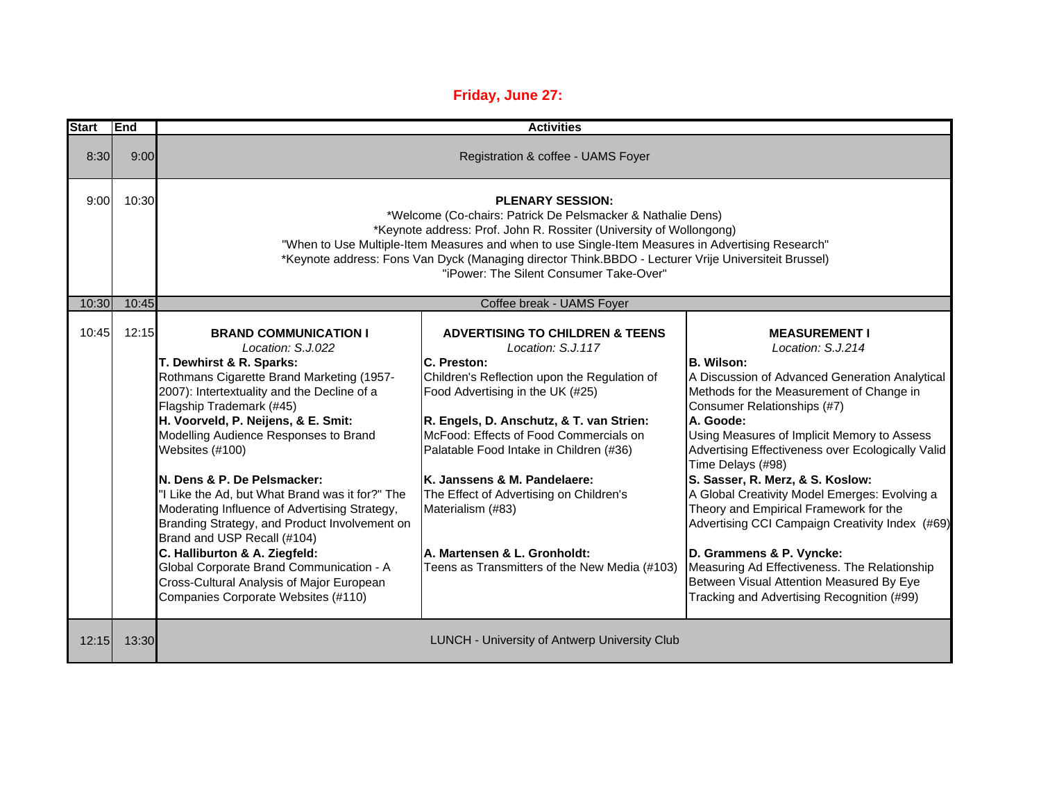## **Friday, June 27:**

| <b>Start</b> | End   | <b>Activities</b>                                                                                                                                                                                                                                                                                                                                                                                                                                                                                                                                                                                                                                                                            |                                                                                                                                                                                                                                                                                                                                                                                                                                                                                      |                                                                                                                                                                                                                                                                                                                                                                                                                                                                                                                                                                                                                                                                                           |  |  |
|--------------|-------|----------------------------------------------------------------------------------------------------------------------------------------------------------------------------------------------------------------------------------------------------------------------------------------------------------------------------------------------------------------------------------------------------------------------------------------------------------------------------------------------------------------------------------------------------------------------------------------------------------------------------------------------------------------------------------------------|--------------------------------------------------------------------------------------------------------------------------------------------------------------------------------------------------------------------------------------------------------------------------------------------------------------------------------------------------------------------------------------------------------------------------------------------------------------------------------------|-------------------------------------------------------------------------------------------------------------------------------------------------------------------------------------------------------------------------------------------------------------------------------------------------------------------------------------------------------------------------------------------------------------------------------------------------------------------------------------------------------------------------------------------------------------------------------------------------------------------------------------------------------------------------------------------|--|--|
| 8:30         | 9:00  | Registration & coffee - UAMS Foyer                                                                                                                                                                                                                                                                                                                                                                                                                                                                                                                                                                                                                                                           |                                                                                                                                                                                                                                                                                                                                                                                                                                                                                      |                                                                                                                                                                                                                                                                                                                                                                                                                                                                                                                                                                                                                                                                                           |  |  |
| 9:00         | 10:30 | <b>PLENARY SESSION:</b><br>*Welcome (Co-chairs: Patrick De Pelsmacker & Nathalie Dens)<br>*Keynote address: Prof. John R. Rossiter (University of Wollongong)<br>"When to Use Multiple-Item Measures and when to use Single-Item Measures in Advertising Research"<br>*Keynote address: Fons Van Dyck (Managing director Think.BBDO - Lecturer Vrije Universiteit Brussel)<br>"iPower: The Silent Consumer Take-Over"                                                                                                                                                                                                                                                                        |                                                                                                                                                                                                                                                                                                                                                                                                                                                                                      |                                                                                                                                                                                                                                                                                                                                                                                                                                                                                                                                                                                                                                                                                           |  |  |
| 10:30        | 10:45 |                                                                                                                                                                                                                                                                                                                                                                                                                                                                                                                                                                                                                                                                                              | Coffee break - UAMS Foyer                                                                                                                                                                                                                                                                                                                                                                                                                                                            |                                                                                                                                                                                                                                                                                                                                                                                                                                                                                                                                                                                                                                                                                           |  |  |
| 10:45        | 12:15 | <b>BRAND COMMUNICATION I</b><br>Location: S.J.022<br>T. Dewhirst & R. Sparks:<br>Rothmans Cigarette Brand Marketing (1957-<br>2007): Intertextuality and the Decline of a<br>Flagship Trademark (#45)<br>H. Voorveld, P. Neijens, & E. Smit:<br>Modelling Audience Responses to Brand<br>Websites (#100)<br>N. Dens & P. De Pelsmacker:<br>"I Like the Ad, but What Brand was it for?" The<br>Moderating Influence of Advertising Strategy,<br>Branding Strategy, and Product Involvement on<br>Brand and USP Recall (#104)<br>C. Halliburton & A. Ziegfeld:<br>Global Corporate Brand Communication - A<br>Cross-Cultural Analysis of Major European<br>Companies Corporate Websites (#110) | <b>ADVERTISING TO CHILDREN &amp; TEENS</b><br>Location: S.J.117<br>C. Preston:<br>Children's Reflection upon the Regulation of<br>Food Advertising in the UK (#25)<br>R. Engels, D. Anschutz, & T. van Strien:<br>McFood: Effects of Food Commercials on<br>Palatable Food Intake in Children (#36)<br>K. Janssens & M. Pandelaere:<br>The Effect of Advertising on Children's<br>Materialism (#83)<br>A. Martensen & L. Gronholdt:<br>Teens as Transmitters of the New Media (#103) | <b>MEASUREMENT I</b><br>Location: S.J.214<br><b>B. Wilson:</b><br>A Discussion of Advanced Generation Analytical<br>Methods for the Measurement of Change in<br>Consumer Relationships (#7)<br>A. Goode:<br>Using Measures of Implicit Memory to Assess<br>Advertising Effectiveness over Ecologically Valid<br>Time Delays (#98)<br>S. Sasser, R. Merz, & S. Koslow:<br>A Global Creativity Model Emerges: Evolving a<br>Theory and Empirical Framework for the<br>Advertising CCI Campaign Creativity Index (#69)<br>D. Grammens & P. Vyncke:<br>Measuring Ad Effectiveness. The Relationship<br>Between Visual Attention Measured By Eye<br>Tracking and Advertising Recognition (#99) |  |  |
| 12:15        | 13:30 |                                                                                                                                                                                                                                                                                                                                                                                                                                                                                                                                                                                                                                                                                              | <b>LUNCH - University of Antwerp University Club</b>                                                                                                                                                                                                                                                                                                                                                                                                                                 |                                                                                                                                                                                                                                                                                                                                                                                                                                                                                                                                                                                                                                                                                           |  |  |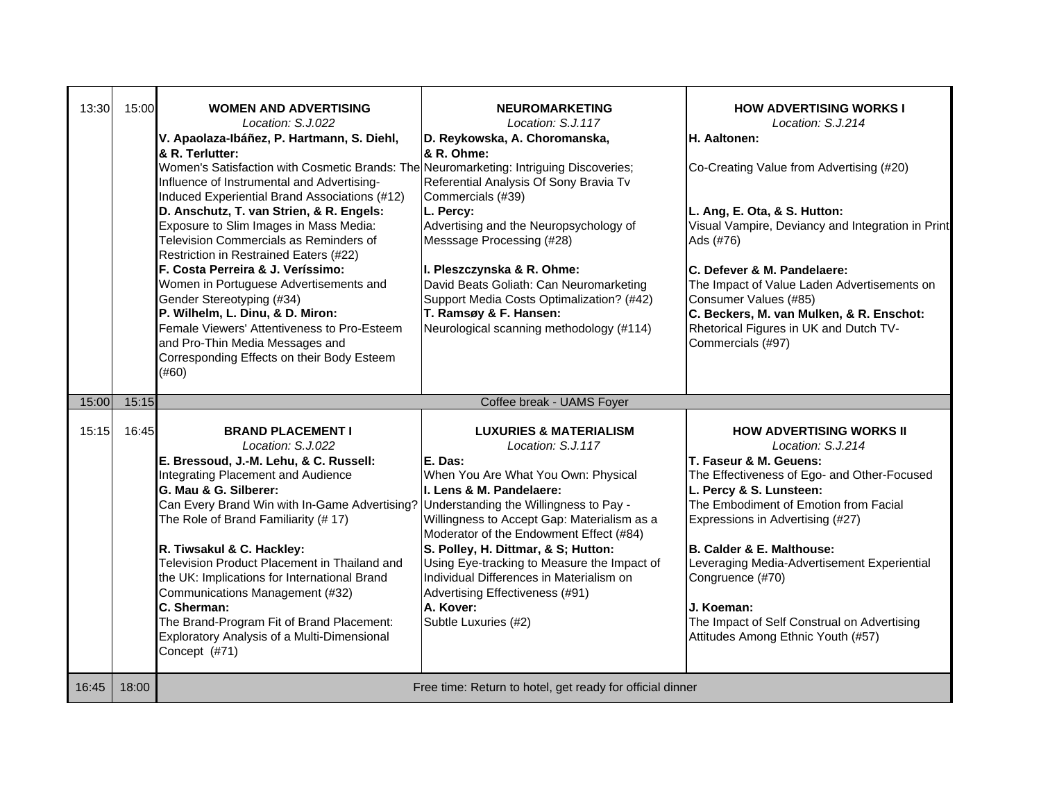| 13:30 | 15:00 | <b>WOMEN AND ADVERTISING</b><br>Location: S.J.022<br>V. Apaolaza-Ibáñez, P. Hartmann, S. Diehl,<br>& R. Terlutter:<br>Women's Satisfaction with Cosmetic Brands: The Neuromarketing: Intriguing Discoveries;<br>Influence of Instrumental and Advertising-<br>Induced Experiential Brand Associations (#12)<br>D. Anschutz, T. van Strien, & R. Engels:<br>Exposure to Slim Images in Mass Media:<br>Television Commercials as Reminders of<br>Restriction in Restrained Eaters (#22)<br>F. Costa Perreira & J. Veríssimo:<br>Women in Portuguese Advertisements and<br>Gender Stereotyping (#34)<br>P. Wilhelm, L. Dinu, & D. Miron:<br>Female Viewers' Attentiveness to Pro-Esteem<br>and Pro-Thin Media Messages and<br>Corresponding Effects on their Body Esteem<br>(#60) | <b>NEUROMARKETING</b><br>Location: S.J.117<br>D. Reykowska, A. Choromanska,<br>& R. Ohme:<br>Referential Analysis Of Sony Bravia Tv<br>Commercials (#39)<br>L. Percy:<br>Advertising and the Neuropsychology of<br>Messsage Processing (#28)<br>I. Pleszczynska & R. Ohme:<br>David Beats Goliath: Can Neuromarketing<br>Support Media Costs Optimalization? (#42)<br>T. Ramsøy & F. Hansen:<br>Neurological scanning methodology (#114) | <b>HOW ADVERTISING WORKS I</b><br>Location: S.J.214<br>H. Aaltonen:<br>Co-Creating Value from Advertising (#20)<br>L. Ang, E. Ota, & S. Hutton:<br>Visual Vampire, Deviancy and Integration in Print<br>Ads (#76)<br>C. Defever & M. Pandelaere:<br>The Impact of Value Laden Advertisements on<br>Consumer Values (#85)<br>C. Beckers, M. van Mulken, & R. Enschot:<br>Rhetorical Figures in UK and Dutch TV-<br>Commercials (#97) |
|-------|-------|--------------------------------------------------------------------------------------------------------------------------------------------------------------------------------------------------------------------------------------------------------------------------------------------------------------------------------------------------------------------------------------------------------------------------------------------------------------------------------------------------------------------------------------------------------------------------------------------------------------------------------------------------------------------------------------------------------------------------------------------------------------------------------|------------------------------------------------------------------------------------------------------------------------------------------------------------------------------------------------------------------------------------------------------------------------------------------------------------------------------------------------------------------------------------------------------------------------------------------|-------------------------------------------------------------------------------------------------------------------------------------------------------------------------------------------------------------------------------------------------------------------------------------------------------------------------------------------------------------------------------------------------------------------------------------|
| 15:00 | 15:15 |                                                                                                                                                                                                                                                                                                                                                                                                                                                                                                                                                                                                                                                                                                                                                                                | Coffee break - UAMS Foyer                                                                                                                                                                                                                                                                                                                                                                                                                |                                                                                                                                                                                                                                                                                                                                                                                                                                     |
| 15:15 | 16:45 | <b>BRAND PLACEMENT I</b><br>Location: S.J.022<br>E. Bressoud, J.-M. Lehu, & C. Russell:<br>Integrating Placement and Audience<br>G. Mau & G. Silberer:<br>Can Every Brand Win with In-Game Advertising? Understanding the Willingness to Pay -<br>The Role of Brand Familiarity (#17)<br>R. Tiwsakul & C. Hackley:<br>Television Product Placement in Thailand and<br>the UK: Implications for International Brand<br>Communications Management (#32)<br>C. Sherman:                                                                                                                                                                                                                                                                                                           | <b>LUXURIES &amp; MATERIALISM</b><br>Location: S.J.117<br>E. Das:<br>When You Are What You Own: Physical<br>I. Lens & M. Pandelaere:<br>Willingness to Accept Gap: Materialism as a<br>Moderator of the Endowment Effect (#84)<br>S. Polley, H. Dittmar, & S; Hutton:<br>Using Eye-tracking to Measure the Impact of<br>Individual Differences in Materialism on<br>Advertising Effectiveness (#91)<br>A. Kover:                         | <b>HOW ADVERTISING WORKS II</b><br>Location: S.J.214<br>T. Faseur & M. Geuens:<br>The Effectiveness of Ego- and Other-Focused<br>L. Percy & S. Lunsteen:<br>The Embodiment of Emotion from Facial<br>Expressions in Advertising (#27)<br><b>B. Calder &amp; E. Malthouse:</b><br>Leveraging Media-Advertisement Experiential<br>Congruence (#70)<br>J. Koeman:                                                                      |
|       |       | The Brand-Program Fit of Brand Placement:<br>Exploratory Analysis of a Multi-Dimensional<br>Concept (#71)                                                                                                                                                                                                                                                                                                                                                                                                                                                                                                                                                                                                                                                                      | Subtle Luxuries (#2)                                                                                                                                                                                                                                                                                                                                                                                                                     | The Impact of Self Construal on Advertising<br>Attitudes Among Ethnic Youth (#57)                                                                                                                                                                                                                                                                                                                                                   |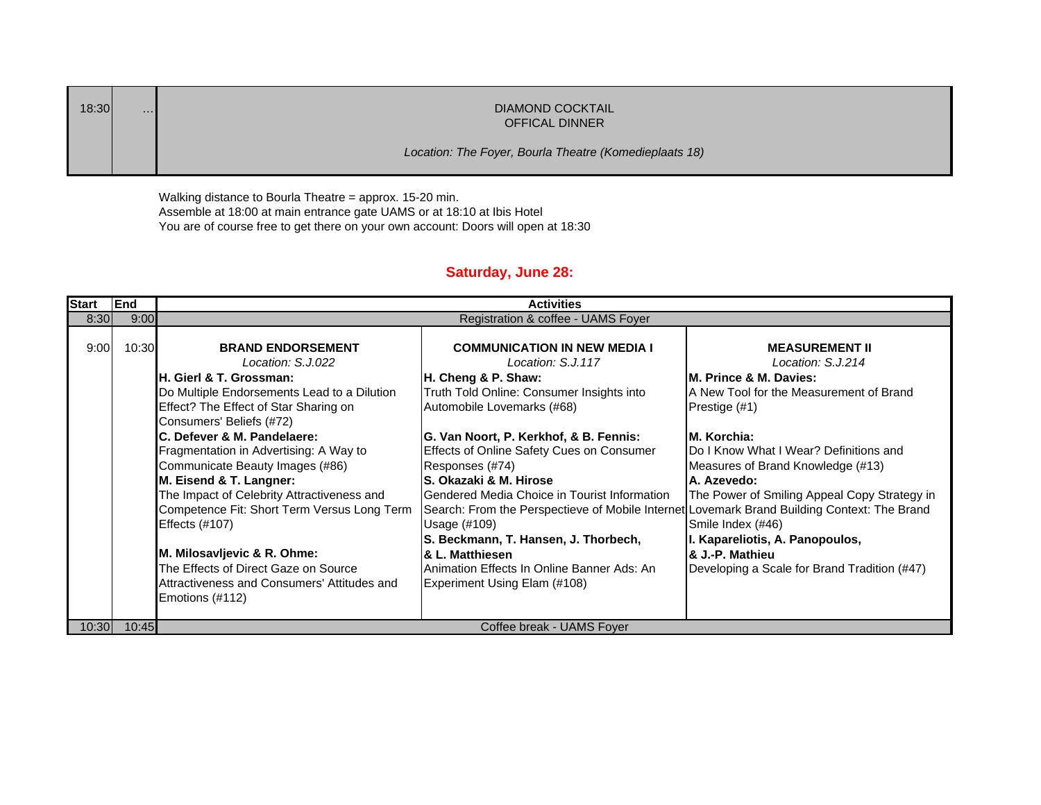| 18:30 | $\cdots$ | DIAMOND COCKTAIL<br><b>OFFICAL DINNER</b>              |
|-------|----------|--------------------------------------------------------|
|       |          | Location: The Foyer, Bourla Theatre (Komedieplaats 18) |

Walking distance to Bourla Theatre = approx. 15-20 min. Assemble at 18:00 at main entrance gate UAMS or at 18:10 at Ibis Hotel You are of course free to get there on your own account: Doors will open at 18:30

## **Saturday, June 28:**

| <b>Start</b> | End   | <b>Activities</b>                                                                                                                                                                                                                                                                                                                                                                                                                                                                                                                                                                                  |                                                                                                                                                                                                                                                                                                                                                                                                                                                                                                                                                                                                                            |                                                                                                                                                                                                                                                                                                                                                                                                                          |  |  |
|--------------|-------|----------------------------------------------------------------------------------------------------------------------------------------------------------------------------------------------------------------------------------------------------------------------------------------------------------------------------------------------------------------------------------------------------------------------------------------------------------------------------------------------------------------------------------------------------------------------------------------------------|----------------------------------------------------------------------------------------------------------------------------------------------------------------------------------------------------------------------------------------------------------------------------------------------------------------------------------------------------------------------------------------------------------------------------------------------------------------------------------------------------------------------------------------------------------------------------------------------------------------------------|--------------------------------------------------------------------------------------------------------------------------------------------------------------------------------------------------------------------------------------------------------------------------------------------------------------------------------------------------------------------------------------------------------------------------|--|--|
| 8:30         | 9:00  | Registration & coffee - UAMS Foyer                                                                                                                                                                                                                                                                                                                                                                                                                                                                                                                                                                 |                                                                                                                                                                                                                                                                                                                                                                                                                                                                                                                                                                                                                            |                                                                                                                                                                                                                                                                                                                                                                                                                          |  |  |
| 9:00         | 10:30 | <b>BRAND ENDORSEMENT</b><br>Location: S.J.022<br>H. Gierl & T. Grossman:<br>Do Multiple Endorsements Lead to a Dilution<br>Effect? The Effect of Star Sharing on<br>Consumers' Beliefs (#72)<br>C. Defever & M. Pandelaere:<br>Fragmentation in Advertising: A Way to<br>Communicate Beauty Images (#86)<br>M. Eisend & T. Langner:<br>The Impact of Celebrity Attractiveness and<br>Competence Fit: Short Term Versus Long Term<br><b>Effects (#107)</b><br>M. Milosavljevic & R. Ohme:<br>The Effects of Direct Gaze on Source<br>Attractiveness and Consumers' Attitudes and<br>Emotions (#112) | <b>COMMUNICATION IN NEW MEDIA I</b><br>Location: S.J.117<br>H. Cheng & P. Shaw:<br>Truth Told Online: Consumer Insights into<br>Automobile Lovemarks (#68)<br>G. Van Noort, P. Kerkhof, & B. Fennis:<br>Effects of Online Safety Cues on Consumer<br>Responses (#74)<br>lS. Okazaki & M. Hirose<br><b>IGendered Media Choice in Tourist Information</b><br>Search: From the Perspectieve of Mobile Internet Lovemark Brand Building Context: The Brand<br>Usage (#109)<br>S. Beckmann, T. Hansen, J. Thorbech,<br><b>&amp; L. Matthiesen</b><br>Animation Effects In Online Banner Ads: An<br>Experiment Using Elam (#108) | <b>MEASUREMENT II</b><br>Location: S.J.214<br>M. Prince & M. Davies:<br>A New Tool for the Measurement of Brand<br>Prestige (#1)<br>M. Korchia:<br>Do I Know What I Wear? Definitions and<br>Measures of Brand Knowledge (#13)<br>A. Azevedo:<br>The Power of Smiling Appeal Copy Strategy in<br>Smile Index (#46)<br>I. Kapareliotis, A. Panopoulos,<br>& J.-P. Mathieu<br>Developing a Scale for Brand Tradition (#47) |  |  |
| 10:30        | 10:45 | Coffee break - UAMS Foyer                                                                                                                                                                                                                                                                                                                                                                                                                                                                                                                                                                          |                                                                                                                                                                                                                                                                                                                                                                                                                                                                                                                                                                                                                            |                                                                                                                                                                                                                                                                                                                                                                                                                          |  |  |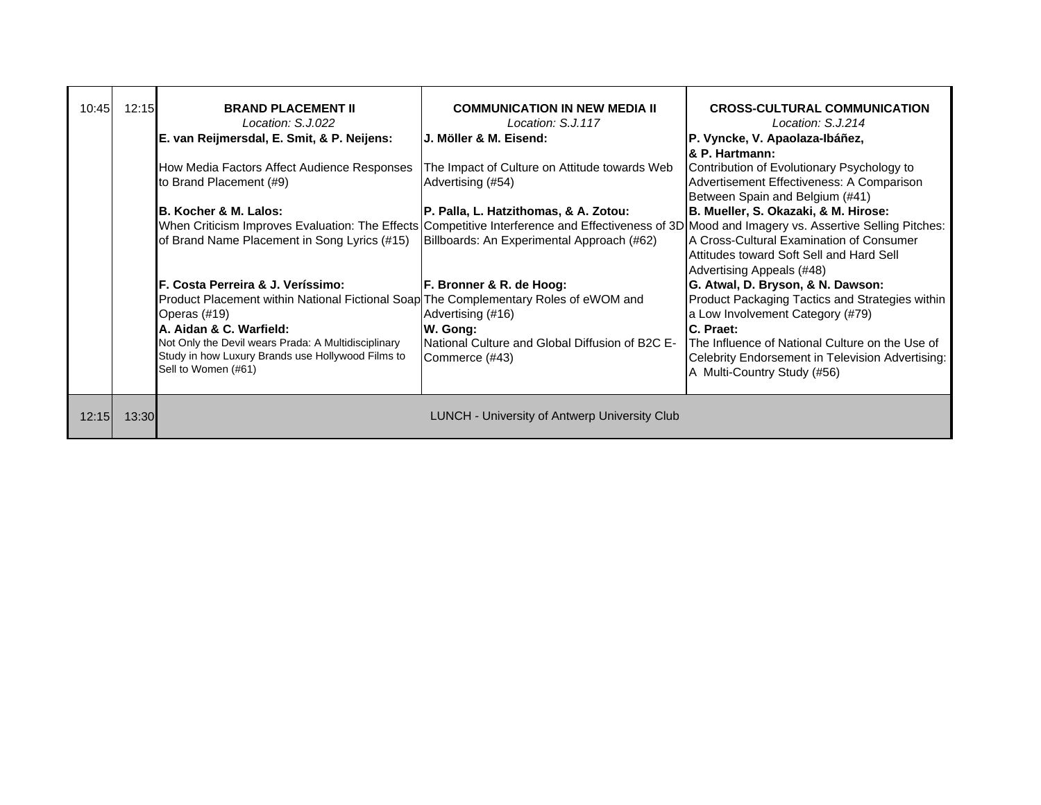| 10:45 | 12:15 | <b>BRAND PLACEMENT II</b><br>Location: S.J.022<br>E. van Reijmersdal, E. Smit, & P. Neijens:                                                                                                                                                                                                                                   | <b>COMMUNICATION IN NEW MEDIA II</b><br>Location: S.J.117<br><b>IJ. Möller &amp; M. Eisend:</b>                                                                                                                                         | <b>CROSS-CULTURAL COMMUNICATION</b><br>Location: S.J.214<br>P. Vyncke, V. Apaolaza-Ibáñez,<br><b>8. P. Hartmann:</b>                                                                                                                                                                      |
|-------|-------|--------------------------------------------------------------------------------------------------------------------------------------------------------------------------------------------------------------------------------------------------------------------------------------------------------------------------------|-----------------------------------------------------------------------------------------------------------------------------------------------------------------------------------------------------------------------------------------|-------------------------------------------------------------------------------------------------------------------------------------------------------------------------------------------------------------------------------------------------------------------------------------------|
|       |       | How Media Factors Affect Audience Responses<br>to Brand Placement (#9)                                                                                                                                                                                                                                                         | The Impact of Culture on Attitude towards Web<br>Advertising (#54)                                                                                                                                                                      | Contribution of Evolutionary Psychology to<br>Advertisement Effectiveness: A Comparison<br>Between Spain and Belgium (#41)                                                                                                                                                                |
|       |       | <b>B. Kocher &amp; M. Lalos:</b><br>of Brand Name Placement in Song Lyrics (#15)                                                                                                                                                                                                                                               | P. Palla, L. Hatzithomas, & A. Zotou:<br>When Criticism Improves Evaluation: The Effects Competitive Interference and Effectiveness of 3D Mood and Imagery vs. Assertive Selling Pitches:<br>Billboards: An Experimental Approach (#62) | B. Mueller, S. Okazaki, & M. Hirose:<br><b>A Cross-Cultural Examination of Consumer</b><br>Attitudes toward Soft Sell and Hard Sell<br>Advertising Appeals (#48)                                                                                                                          |
|       |       | <b>IF. Costa Perreira &amp; J. Veríssimo:</b><br>Product Placement within National Fictional Soap The Complementary Roles of eWOM and<br>Operas (#19)<br><b>A. Aidan &amp; C. Warfield:</b><br>Not Only the Devil wears Prada: A Multidisciplinary<br>Study in how Luxury Brands use Hollywood Films to<br>Sell to Women (#61) | F. Bronner & R. de Hoog:<br>Advertising (#16)<br>W. Gong:<br><b>INational Culture and Global Diffusion of B2C E-</b><br>Commerce (#43)                                                                                                  | G. Atwal, D. Bryson, & N. Dawson:<br><b>Product Packaging Tactics and Strategies within</b><br>a Low Involvement Category (#79)<br><b>C. Praet:</b><br>The Influence of National Culture on the Use of<br>Celebrity Endorsement in Television Advertising:<br>A Multi-Country Study (#56) |
| 12:15 | 13:30 |                                                                                                                                                                                                                                                                                                                                | <b>LUNCH - University of Antwerp University Club</b>                                                                                                                                                                                    |                                                                                                                                                                                                                                                                                           |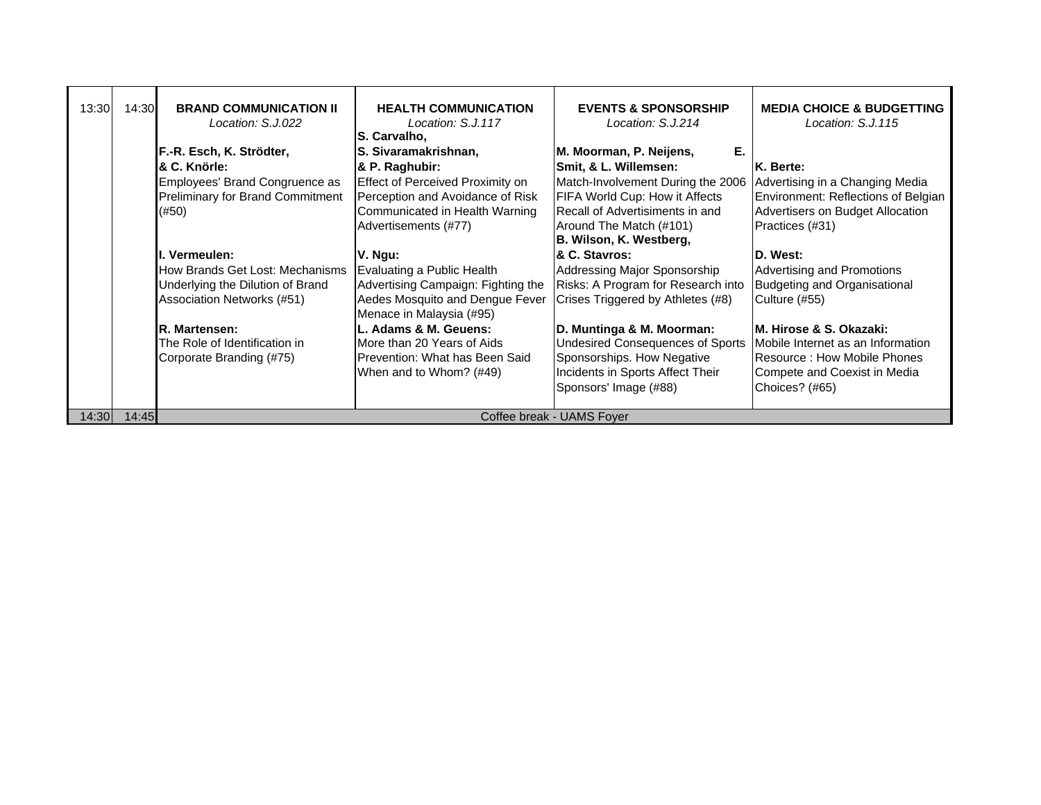| 13:30 | 14:30 | <b>BRAND COMMUNICATION II</b><br>Location: S.J.022 | <b>HEALTH COMMUNICATION</b><br>Location: S.J.117<br>S. Carvalho, | <b>EVENTS &amp; SPONSORSHIP</b><br>Location: S.J.214 | <b>MEDIA CHOICE &amp; BUDGETTING</b><br>Location: S.J.115 |
|-------|-------|----------------------------------------------------|------------------------------------------------------------------|------------------------------------------------------|-----------------------------------------------------------|
|       |       | F.-R. Esch, K. Strödter,                           | S. Sivaramakrishnan,                                             | Е.<br>M. Moorman, P. Neijens,                        |                                                           |
|       |       | & C. Knörle:                                       | & P. Raghubir:                                                   | Smit, & L. Willemsen:                                | K. Berte:                                                 |
|       |       | Employees' Brand Congruence as                     | <b>Effect of Perceived Proximity on</b>                          | Match-Involvement During the 2006                    | Advertising in a Changing Media                           |
|       |       | Preliminary for Brand Commitment                   | Perception and Avoidance of Risk                                 | FIFA World Cup: How it Affects                       | Environment: Reflections of Belgian                       |
|       |       | (#50)                                              | Communicated in Health Warning                                   | Recall of Advertisiments in and                      | Advertisers on Budget Allocation                          |
|       |       |                                                    | Advertisements (#77)                                             | Around The Match (#101)<br>B. Wilson, K. Westberg,   | Practices (#31)                                           |
|       |       | . Vermeulen:                                       | V. Ngu:                                                          | & C. Stavros:                                        | D. West:                                                  |
|       |       | How Brands Get Lost: Mechanisms                    | Evaluating a Public Health                                       | Addressing Major Sponsorship                         | Advertising and Promotions                                |
|       |       | Underlying the Dilution of Brand                   | Advertising Campaign: Fighting the                               | Risks: A Program for Research into                   | <b>Budgeting and Organisational</b>                       |
|       |       | Association Networks (#51)                         | Aedes Mosquito and Dengue Fever                                  | Crises Triggered by Athletes (#8)                    | Culture (#55)                                             |
|       |       |                                                    | Menace in Malaysia (#95)                                         |                                                      |                                                           |
|       |       | R. Martensen:                                      | L. Adams & M. Geuens:                                            | D. Muntinga & M. Moorman:                            | IM. Hirose & S. Okazaki:                                  |
|       |       | The Role of Identification in                      | More than 20 Years of Aids                                       | <b>Undesired Consequences of Sports</b>              | Mobile Internet as an Information                         |
|       |       | Corporate Branding (#75)                           | Prevention: What has Been Said                                   | Sponsorships. How Negative                           | Resource: How Mobile Phones                               |
|       |       |                                                    | When and to Whom? (#49)                                          | Incidents in Sports Affect Their                     | Compete and Coexist in Media                              |
|       |       |                                                    |                                                                  | Sponsors' Image (#88)                                | Choices? (#65)                                            |
| 14:30 | 14:45 |                                                    |                                                                  | Coffee break - UAMS Foyer                            |                                                           |